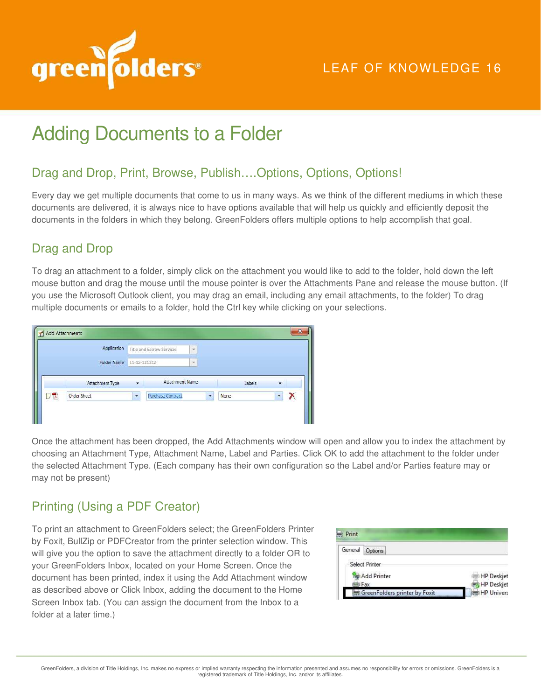

# Adding Documents to a Folder

### Drag and Drop, Print, Browse, Publish….Options, Options, Options!

Every day we get multiple documents that come to us in many ways. As we think of the different mediums in which these documents are delivered, it is always nice to have options available that will help us quickly and efficiently deposit the documents in the folders in which they belong. GreenFolders offers multiple options to help accomplish that goal.

## Drag and Drop

To drag an attachment to a folder, simply click on the attachment you would like to add to the folder, hold down the left mouse button and drag the mouse until the mouse pointer is over the Attachments Pane and release the mouse button. (If you use the Microsoft Outlook client, you may drag an email, including any email attachments, to the folder) To drag multiple documents or emails to a folder, hold the Ctrl key while clicking on your selections.

|      | Application        |                          | Title and Escrow Services | ٠                        |           |                          |  |
|------|--------------------|--------------------------|---------------------------|--------------------------|-----------|--------------------------|--|
|      | <b>Folder Name</b> |                          | 11-12-121212              | $\overline{\phantom{a}}$ |           |                          |  |
|      | Attachment Type    | ٠                        | Attachment Name           |                          | Labels    | ٠                        |  |
| 9 TA | Order Sheet        | $\overline{\phantom{a}}$ | <b>Purchase Contract</b>  |                          | None<br>٠ | $\overline{\phantom{a}}$ |  |

Once the attachment has been dropped, the Add Attachments window will open and allow you to index the attachment by choosing an Attachment Type, Attachment Name, Label and Parties. Click OK to add the attachment to the folder under the selected Attachment Type. (Each company has their own configuration so the Label and/or Parties feature may or may not be present)

# Printing (Using a PDF Creator)

To print an attachment to GreenFolders select; the GreenFolders Printer by Foxit, BullZip or PDFCreator from the printer selection window. This will give you the option to save the attachment directly to a folder OR to your GreenFolders Inbox, located on your Home Screen. Once the document has been printed, index it using the Add Attachment window as described above or Click Inbox, adding the document to the Home Screen Inbox tab. (You can assign the document from the Inbox to a folder at a later time.)